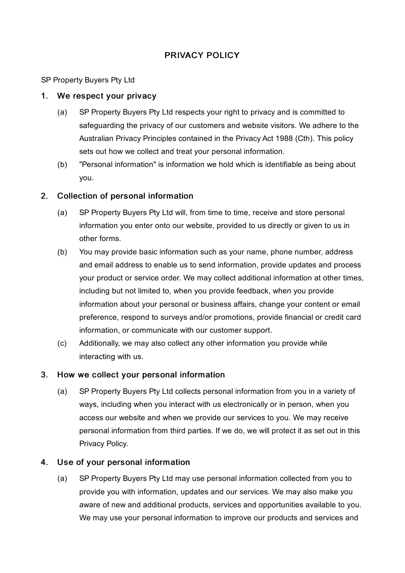# PRIVACY POLICY

SP Property Buyers Pty Ltd

#### 1. We respect your privacy

- (a) SP Property Buyers Pty Ltd respects your right to privacy and is committed to safeguarding the privacy of our customers and website visitors. We adhere to the Australian Privacy Principles contained in the Privacy Act 1988 (Cth). This policy sets out how we collect and treat your personal information.
- (b) "Personal information" is information we hold which is identifiable as being about you.

## 2. Collection of personal information

- (a) SP Property Buyers Pty Ltd will, from time to time, receive and store personal information you enter onto our website, provided to us directly or given to us in other forms.
- (b) You may provide basic information such as your name, phone number, address and email address to enable us to send information, provide updates and process your product or service order. We may collect additional information at other times, including but not limited to, when you provide feedback, when you provide information about your personal or business affairs, change your content or email preference, respond to surveys and/or promotions, provide financial or credit card information, or communicate with our customer support.
- (c) Additionally, we may also collect any other information you provide while interacting with us.

#### 3. How we collect your personal information

(a) SP Property Buyers Pty Ltd collects personal information from you in a variety of ways, including when you interact with us electronically or in person, when you access our website and when we provide our services to you. We may receive personal information from third parties. If we do, we will protect it as set out in this Privacy Policy.

## 4. Use of your personal information

(a) SP Property Buyers Pty Ltd may use personal information collected from you to provide you with information, updates and our services. We may also make you aware of new and additional products, services and opportunities available to you. We may use your personal information to improve our products and services and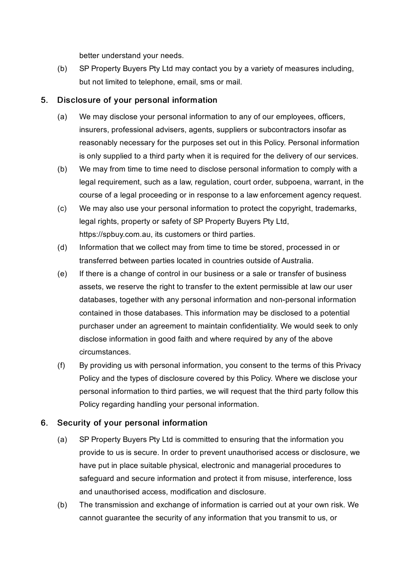better understand your needs.

(b) SP Property Buyers Pty Ltd may contact you by a variety of measures including, but not limited to telephone, email, sms or mail.

#### 5. Disclosure of your personal information

- (a) We may disclose your personal information to any of our employees, officers, insurers, professional advisers, agents, suppliers or subcontractors insofar as reasonably necessary for the purposes set out in this Policy. Personal information is only supplied to a third party when it is required for the delivery of our services.
- (b) We may from time to time need to disclose personal information to comply with a legal requirement, such as a law, regulation, court order, subpoena, warrant, in the course of a legal proceeding or in response to a law enforcement agency request.
- (c) We may also use your personal information to protect the copyright, trademarks, legal rights, property or safety of SP Property Buyers Pty Ltd, https://spbuy.com.au, its customers or third parties.
- (d) Information that we collect may from time to time be stored, processed in or transferred between parties located in countries outside of Australia.
- (e) If there is a change of control in our business or a sale or transfer of business assets, we reserve the right to transfer to the extent permissible at law our user databases, together with any personal information and non-personal information contained in those databases. This information may be disclosed to a potential purchaser under an agreement to maintain confidentiality. We would seek to only disclose information in good faith and where required by any of the above circumstances.
- (f) By providing us with personal information, you consent to the terms of this Privacy Policy and the types of disclosure covered by this Policy. Where we disclose your personal information to third parties, we will request that the third party follow this Policy regarding handling your personal information.

## 6. Security of your personal information

- (a) SP Property Buyers Pty Ltd is committed to ensuring that the information you provide to us is secure. In order to prevent unauthorised access or disclosure, we have put in place suitable physical, electronic and managerial procedures to safeguard and secure information and protect it from misuse, interference, loss and unauthorised access, modification and disclosure.
- (b) The transmission and exchange of information is carried out at your own risk. We cannot guarantee the security of any information that you transmit to us, or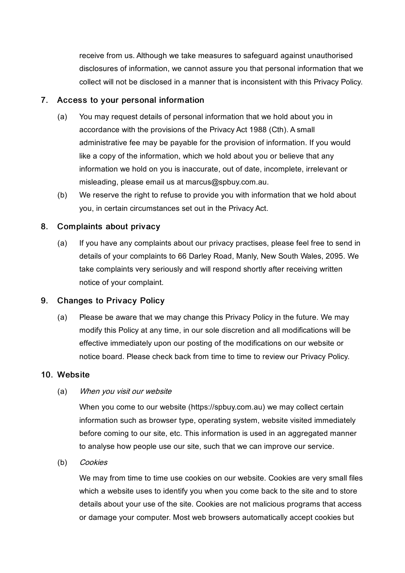receive from us. Although we take measures to safeguard against unauthorised disclosures of information, we cannot assure you that personal information that we collect will not be disclosed in a manner that is inconsistent with this Privacy Policy.

#### 7. Access to your personal information

- (a) You may request details of personal information that we hold about you in accordance with the provisions of the Privacy Act 1988 (Cth). A small administrative fee may be payable for the provision of information. If you would like a copy of the information, which we hold about you or believe that any information we hold on you is inaccurate, out of date, incomplete, irrelevant or misleading, please email us at marcus@spbuy.com.au.
- (b) We reserve the right to refuse to provide you with information that we hold about you, in certain circumstances set out in the Privacy Act.

## 8. Complaints about privacy

(a) If you have any complaints about our privacy practises, please feel free to send in details of your complaints to 66 Darley Road, Manly, New South Wales, 2095. We take complaints very seriously and will respond shortly after receiving written notice of your complaint.

## 9. Changes to Privacy Policy

(a) Please be aware that we may change this Privacy Policy in the future. We may modify this Policy at any time, in our sole discretion and all modifications will be effective immediately upon our posting of the modifications on our website or notice board. Please check back from time to time to review our Privacy Policy.

#### 10. Website

#### (a) When you visit our website

When you come to our website (https://spbuy.com.au) we may collect certain information such as browser type, operating system, website visited immediately before coming to our site, etc. This information is used in an aggregated manner to analyse how people use our site, such that we can improve our service.

(b) Cookies

We may from time to time use cookies on our website. Cookies are very small files which a website uses to identify you when you come back to the site and to store details about your use of the site. Cookies are not malicious programs that access or damage your computer. Most web browsers automatically accept cookies but